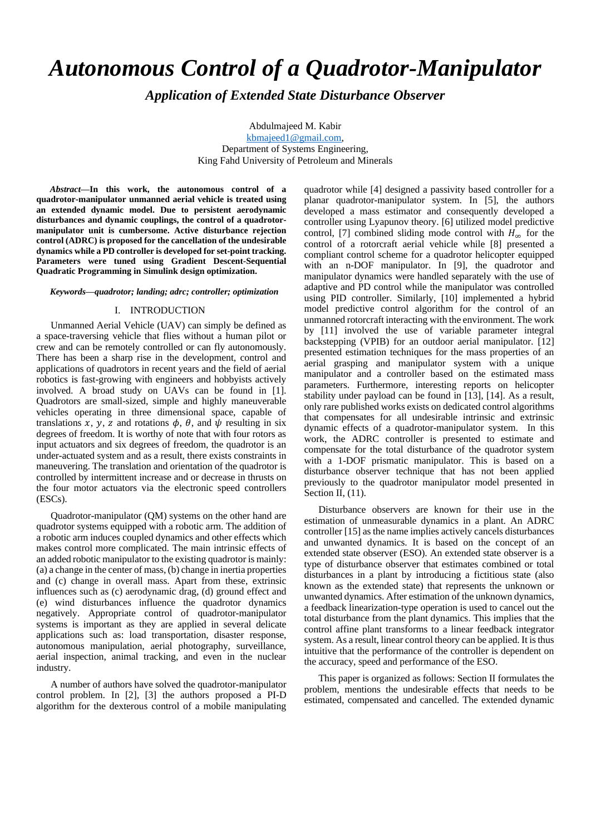# *Autonomous Control of a Quadrotor-Manipulator*

*Application of Extended State Disturbance Observer*

Abdulmajeed M. Kabir [kbmajeed1@gmail.com,](mailto:kbmajeed1@gmail.com) Department of Systems Engineering, King Fahd University of Petroleum and Minerals

*Abstract***—In this work, the autonomous control of a quadrotor-manipulator unmanned aerial vehicle is treated using an extended dynamic model. Due to persistent aerodynamic disturbances and dynamic couplings, the control of a quadrotormanipulator unit is cumbersome. Active disturbance rejection control (ADRC) is proposed for the cancellation of the undesirable dynamics while a PD controller is developed for set-point tracking. Parameters were tuned using Gradient Descent-Sequential Quadratic Programming in Simulink design optimization.**

#### *Keywords—quadrotor; landing; adrc; controller; optimization*

## I. INTRODUCTION

Unmanned Aerial Vehicle (UAV) can simply be defined as a space-traversing vehicle that flies without a human pilot or crew and can be remotely controlled or can fly autonomously. There has been a sharp rise in the development, control and applications of quadrotors in recent years and the field of aerial robotics is fast-growing with engineers and hobbyists actively involved. A broad study on UAVs can be found in [1]. Quadrotors are small-sized, simple and highly maneuverable vehicles operating in three dimensional space, capable of translations x, y, z and rotations  $\phi$ ,  $\theta$ , and  $\psi$  resulting in six degrees of freedom. It is worthy of note that with four rotors as input actuators and six degrees of freedom, the quadrotor is an under-actuated system and as a result, there exists constraints in maneuvering. The translation and orientation of the quadrotor is controlled by intermittent increase and or decrease in thrusts on the four motor actuators via the electronic speed controllers (ESCs).

Quadrotor-manipulator (QM) systems on the other hand are quadrotor systems equipped with a robotic arm. The addition of a robotic arm induces coupled dynamics and other effects which makes control more complicated. The main intrinsic effects of an added robotic manipulator to the existing quadrotor is mainly: (a) a change in the center of mass, (b) change in inertia properties and (c) change in overall mass. Apart from these, extrinsic influences such as (c) aerodynamic drag, (d) ground effect and (e) wind disturbances influence the quadrotor dynamics negatively. Appropriate control of quadrotor-manipulator systems is important as they are applied in several delicate applications such as: load transportation, disaster response, autonomous manipulation, aerial photography, surveillance, aerial inspection, animal tracking, and even in the nuclear industry.

A number of authors have solved the quadrotor-manipulator control problem. In [2], [3] the authors proposed a PI-D algorithm for the dexterous control of a mobile manipulating

quadrotor while [4] designed a passivity based controller for a planar quadrotor-manipulator system. In [5], the authors developed a mass estimator and consequently developed a controller using Lyapunov theory. [6] utilized model predictive control, [7] combined sliding mode control with  $H_{\infty}$  for the control of a rotorcraft aerial vehicle while [8] presented a compliant control scheme for a quadrotor helicopter equipped with an n-DOF manipulator. In [9], the quadrotor and manipulator dynamics were handled separately with the use of adaptive and PD control while the manipulator was controlled using PID controller. Similarly, [10] implemented a hybrid model predictive control algorithm for the control of an unmanned rotorcraft interacting with the environment. The work by [11] involved the use of variable parameter integral backstepping (VPIB) for an outdoor aerial manipulator. [12] presented estimation techniques for the mass properties of an aerial grasping and manipulator system with a unique manipulator and a controller based on the estimated mass parameters. Furthermore, interesting reports on helicopter stability under payload can be found in [13], [14]. As a result, only rare published works exists on dedicated control algorithms that compensates for all undesirable intrinsic and extrinsic dynamic effects of a quadrotor-manipulator system. In this work, the ADRC controller is presented to estimate and compensate for the total disturbance of the quadrotor system with a 1-DOF prismatic manipulator. This is based on a disturbance observer technique that has not been applied previously to the quadrotor manipulator model presented in Section II,  $(11)$ .

Disturbance observers are known for their use in the estimation of unmeasurable dynamics in a plant. An ADRC controller [15] as the name implies actively cancels disturbances and unwanted dynamics. It is based on the concept of an extended state observer (ESO). An extended state observer is a type of disturbance observer that estimates combined or total disturbances in a plant by introducing a fictitious state (also known as the extended state) that represents the unknown or unwanted dynamics. After estimation of the unknown dynamics, a feedback linearization-type operation is used to cancel out the total disturbance from the plant dynamics. This implies that the control affine plant transforms to a linear feedback integrator system. As a result, linear control theory can be applied. It is thus intuitive that the performance of the controller is dependent on the accuracy, speed and performance of the ESO.

This paper is organized as follows: Section II formulates the problem, mentions the undesirable effects that needs to be estimated, compensated and cancelled. The extended dynamic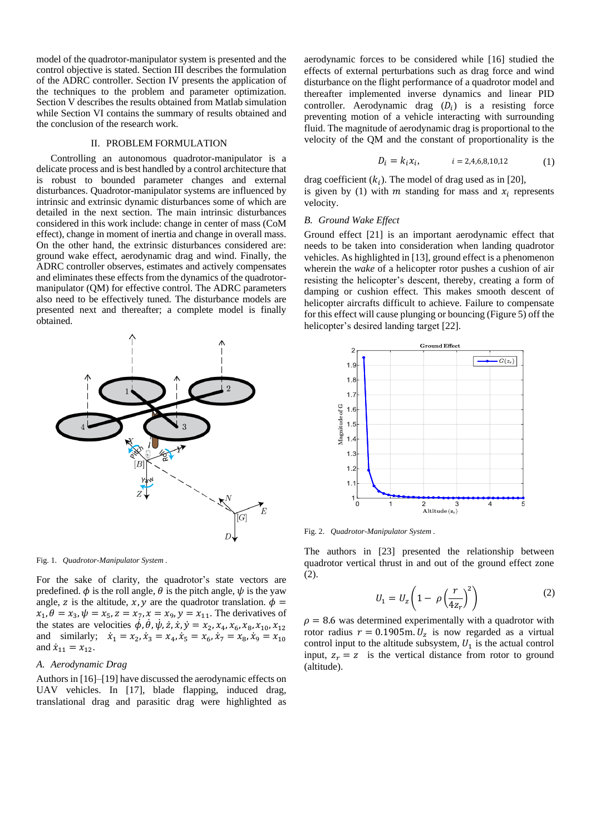model of the quadrotor-manipulator system is presented and the control objective is stated. Section III describes the formulation of the ADRC controller. Section IV presents the application of the techniques to the problem and parameter optimization. Section V describes the results obtained from Matlab simulation while Section VI contains the summary of results obtained and the conclusion of the research work.

#### II. PROBLEM FORMULATION

Controlling an autonomous quadrotor-manipulator is a delicate process and is best handled by a control architecture that is robust to bounded parameter changes and external disturbances. Quadrotor-manipulator systems are influenced by intrinsic and extrinsic dynamic disturbances some of which are detailed in the next section. The main intrinsic disturbances considered in this work include: change in center of mass (CoM effect), change in moment of inertia and change in overall mass. On the other hand, the extrinsic disturbances considered are: ground wake effect, aerodynamic drag and wind. Finally, the ADRC controller observes, estimates and actively compensates and eliminates these effects from the dynamics of the quadrotormanipulator (QM) for effective control. The ADRC parameters also need to be effectively tuned. The disturbance models are presented next and thereafter; a complete model is finally obtained.



Fig. 1. *Quadrotor-Manipulator System .*

For the sake of clarity, the quadrotor's state vectors are predefined.  $\phi$  is the roll angle,  $\theta$  is the pitch angle,  $\psi$  is the yaw angle, z is the altitude,  $x, y$  are the quadrotor translation.  $\phi$  =  $x_1, \theta = x_3, \psi = x_5, z = x_7, x = x_9, y = x_{11}$ . The derivatives of the states are velocities  $\dot{\phi}$ ,  $\dot{\theta}$ ,  $\dot{\psi}$ ,  $\dot{z}$ ,  $\dot{x}$ ,  $\dot{y} = x_2$ ,  $x_4$ ,  $x_6$ ,  $x_8$ ,  $x_{10}$ ,  $x_{12}$ and similarly;  $\dot{x}_1 = x_2, \dot{x}_3 = x_4, \dot{x}_5 = x_6, \dot{x}_7 = x_8, \dot{x}_9 = x_{10}$ and  $\dot{x}_{11} = x_{12}$ .

#### *A. Aerodynamic Drag*

Authors in [16]–[19] have discussed the aerodynamic effects on UAV vehicles. In [17], blade flapping, induced drag, translational drag and parasitic drag were highlighted as

aerodynamic forces to be considered while [16] studied the effects of external perturbations such as drag force and wind disturbance on the flight performance of a quadrotor model and thereafter implemented inverse dynamics and linear PID controller. Aerodynamic drag  $(D_i)$  is a resisting force preventing motion of a vehicle interacting with surrounding fluid. The magnitude of aerodynamic drag is proportional to the velocity of the QM and the constant of proportionality is the

$$
D_i = k_i x_i, \qquad i = 2, 4, 6, 8, 10, 12 \tag{1}
$$

drag coefficient  $(k_i)$ . The model of drag used as in [20], is given by (1) with  $m$  standing for mass and  $x_i$  represents velocity.

#### *B. Ground Wake Effect*

Ground effect [21] is an important aerodynamic effect that needs to be taken into consideration when landing quadrotor vehicles. As highlighted in [13], ground effect is a phenomenon wherein the *wake* of a helicopter rotor pushes a cushion of air resisting the helicopter's descent, thereby, creating a form of damping or cushion effect. This makes smooth descent of helicopter aircrafts difficult to achieve. Failure to compensate for this effect will cause plunging or bouncing (Figure 5) off the helicopter's desired landing target [22].



Fig. 2. *Quadrotor-Manipulator System .*

The authors in [23] presented the relationship between quadrotor vertical thrust in and out of the ground effect zone (2).

$$
U_1 = U_z \left( 1 - \rho \left( \frac{r}{4z_r} \right)^2 \right) \tag{2}
$$

 $\rho = 8.6$  was determined experimentally with a quadrotor with rotor radius  $r = 0.1905$ m.  $U_z$  is now regarded as a virtual control input to the altitude subsystem,  $U_1$  is the actual control input,  $z_r = z$  is the vertical distance from rotor to ground (altitude).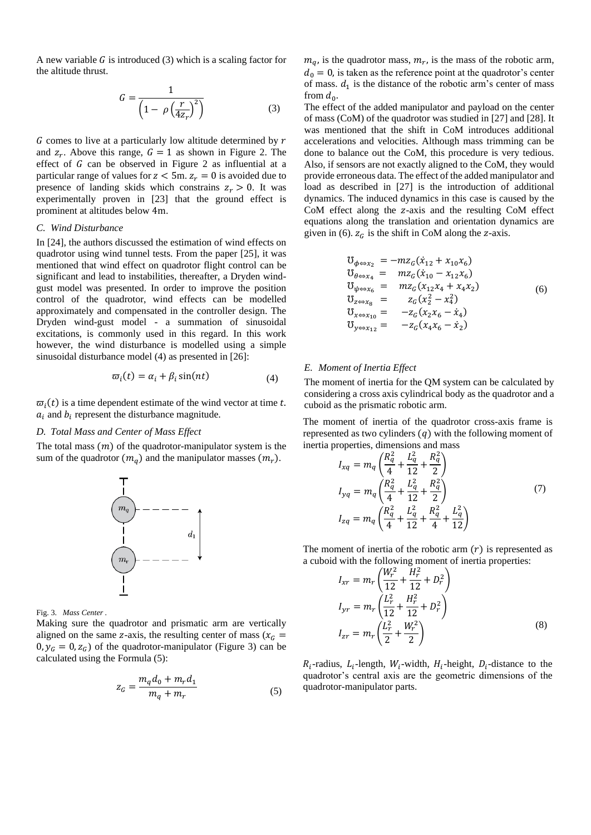A new variable  $G$  is introduced (3) which is a scaling factor for the altitude thrust.

$$
G = \frac{1}{\left(1 - \rho \left(\frac{r}{4z_r}\right)^2\right)}\tag{3}
$$

 $G$  comes to live at a particularly low altitude determined by  $r$ and  $z_r$ . Above this range,  $G = 1$  as shown in Figure 2. The effect of  $G$  can be observed in Figure 2 as influential at a particular range of values for  $z < 5$ m.  $z_r = 0$  is avoided due to presence of landing skids which constrains  $z_r > 0$ . It was experimentally proven in [23] that the ground effect is prominent at altitudes below 4m.

## *C. Wind Disturbance*

In [24], the authors discussed the estimation of wind effects on quadrotor using wind tunnel tests. From the paper [25], it was mentioned that wind effect on quadrotor flight control can be significant and lead to instabilities, thereafter, a Dryden windgust model was presented. In order to improve the position control of the quadrotor, wind effects can be modelled approximately and compensated in the controller design. The Dryden wind-gust model - a summation of sinusoidal excitations, is commonly used in this regard. In this work however, the wind disturbance is modelled using a simple sinusoidal disturbance model (4) as presented in [26]:

$$
\varpi_i(t) = \alpha_i + \beta_i \sin(nt) \tag{4}
$$

 $\varpi_i(t)$  is a time dependent estimate of the wind vector at time t.  $a_i$  and  $b_i$  represent the disturbance magnitude.

## *D. Total Mass and Center of Mass Effect*

The total mass  $(m)$  of the quadrotor-manipulator system is the sum of the quadrotor  $(m_a)$  and the manipulator masses  $(m_r)$ .



Fig. 3. *Mass Center .*

Making sure the quadrotor and prismatic arm are vertically aligned on the same z-axis, the resulting center of mass ( $x_G$  =  $0, y_G = 0, z_G$  of the quadrotor-manipulator (Figure 3) can be calculated using the Formula (5):

$$
z_G = \frac{m_q d_0 + m_r d_1}{m_q + m_r} \tag{5}
$$

 $m_q$ , is the quadrotor mass,  $m_r$ , is the mass of the robotic arm,  $d_0 = 0$ , is taken as the reference point at the quadrotor's center of mass.  $d_1$  is the distance of the robotic arm's center of mass from  $d_0$ .

The effect of the added manipulator and payload on the center of mass (CoM) of the quadrotor was studied in [27] and [28]. It was mentioned that the shift in CoM introduces additional accelerations and velocities. Although mass trimming can be done to balance out the CoM, this procedure is very tedious. Also, if sensors are not exactly aligned to the CoM, they would provide erroneous data. The effect of the added manipulator and load as described in [27] is the introduction of additional dynamics. The induced dynamics in this case is caused by the CoM effect along the z-axis and the resulting CoM effect equations along the translation and orientation dynamics are given in (6).  $z_c$  is the shift in CoM along the z-axis.

$$
U_{\phi \Leftrightarrow x_2} = -m z_G (\dot{x}_{12} + x_{10} x_6)
$$
  
\n
$$
U_{\theta \Leftrightarrow x_4} = m z_G (\dot{x}_{10} - x_{12} x_6)
$$
  
\n
$$
U_{\psi \Leftrightarrow x_6} = m z_G (x_{12} x_4 + x_4 x_2)
$$
  
\n
$$
U_{z \Leftrightarrow x_8} = z_G (x_2^2 - x_4^2)
$$
  
\n
$$
U_{x \Leftrightarrow x_{10}} = -z_G (x_2 x_6 - \dot{x}_4)
$$
  
\n
$$
U_{y \Leftrightarrow x_{12}} = -z_G (x_4 x_6 - \dot{x}_2)
$$
  
\n(6)

### *E. Moment of Inertia Effect*

The moment of inertia for the QM system can be calculated by considering a cross axis cylindrical body as the quadrotor and a cuboid as the prismatic robotic arm.

The moment of inertia of the quadrotor cross-axis frame is represented as two cylinders  $(q)$  with the following moment of inertia properties, dimensions and mass

$$
I_{xq} = m_q \left( \frac{R_q^2}{4} + \frac{L_q^2}{12} + \frac{R_q^2}{2} \right)
$$
  
\n
$$
I_{yq} = m_q \left( \frac{R_q^2}{4} + \frac{L_q^2}{12} + \frac{R_q^2}{2} \right)
$$
  
\n
$$
I_{zq} = m_q \left( \frac{R_q^2}{4} + \frac{L_q^2}{12} + \frac{R_q^2}{4} + \frac{L_q^2}{12} \right)
$$
\n(7)

The moment of inertia of the robotic arm  $(r)$  is represented as a cuboid with the following moment of inertia properties:

$$
I_{xr} = m_r \left( \frac{W_r^2}{12} + \frac{H_r^2}{12} + D_r^2 \right)
$$
  
\n
$$
I_{yr} = m_r \left( \frac{L_r^2}{12} + \frac{H_r^2}{12} + D_r^2 \right)
$$
  
\n
$$
I_{zr} = m_r \left( \frac{L_r^2}{2} + \frac{W_r^2}{2} \right)
$$
 (8)

 $R_i$ -radius,  $L_i$ -length,  $W_i$ -width,  $H_i$ -height,  $D_i$ -distance to the quadrotor's central axis are the geometric dimensions of the quadrotor-manipulator parts.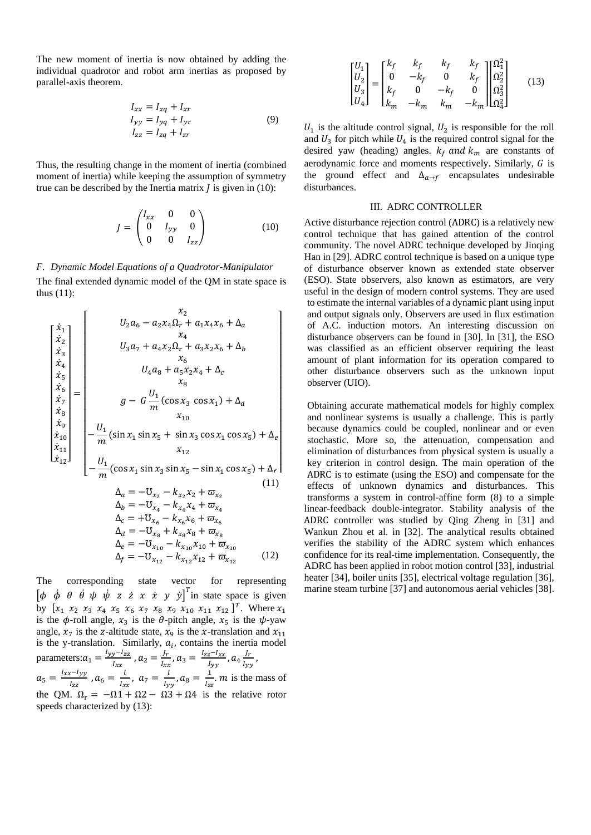The new moment of inertia is now obtained by adding the individual quadrotor and robot arm inertias as proposed by parallel-axis theorem.

$$
I_{xx} = I_{xq} + I_{xr}
$$
  
\n
$$
I_{yy} = I_{yq} + I_{yr}
$$
  
\n
$$
I_{zz} = I_{zq} + I_{zr}
$$
  
\n(9)

Thus, the resulting change in the moment of inertia (combined moment of inertia) while keeping the assumption of symmetry true can be described by the Inertia matrix  *is given in (10):* 

$$
J = \begin{pmatrix} I_{xx} & 0 & 0 \\ 0 & I_{yy} & 0 \\ 0 & 0 & I_{zz} \end{pmatrix}
$$
 (10)

# *F. Dynamic Model Equations of a Quadrotor-Manipulator* The final extended dynamic model of the QM in state space is thus (11):

$$
\begin{bmatrix}\n\dot{x}_1 \\
\dot{x}_2 \\
\dot{x}_3 \\
\dot{x}_4 \\
\dot{x}_5 \\
\dot{x}_6 \\
\dot{x}_7 \\
\dot{x}_{10} \\
\dot{x}_{12}\n\end{bmatrix} =\n\begin{bmatrix}\n x_2 \\
 y_2a_6 - a_2x_4\Omega_r + a_1x_4x_6 + \Delta_a \\
 x_4 \\
 x_5 \\
 y_6\n\end{bmatrix}
$$
\n
$$
\begin{aligned}\nU_3a_7 + a_4x_2\Omega_r + a_3x_2x_6 + \Delta_b \\
x_6\n\end{aligned}
$$
\n
$$
\begin{bmatrix}\nU_4a_8 + a_5x_2x_4 + \Delta_c \\
x_8\n\end{bmatrix}
$$
\n
$$
\begin{bmatrix}\n\dot{x}_1 \\
\dot{x}_2 \\
\dot{x}_3 \\
\dot{x}_4 \\
\dot{x}_5 \\
\dot{x}_6\n\end{bmatrix} =\n\begin{bmatrix}\nU_1 \\
 g - G\frac{U_1}{m}(\cos x_3 \cos x_1) + \Delta_d \\
x_{10}\n\end{bmatrix}
$$
\n
$$
\begin{bmatrix}\nU_1 \\
 u_{10}\n\end{bmatrix} \\
-\frac{U_1}{m}(\sin x_1 \sin x_5 + \sin x_3 \cos x_1 \cos x_5) + \Delta_e\n\end{bmatrix}
$$
\n
$$
\begin{bmatrix}\n\dot{x}_1 \\
\dot{x}_2 \\
\dot{x}_{12}\n\end{bmatrix} =\n\begin{bmatrix}\nU_1 \\
 u_{11}\n\end{bmatrix}(\cos x_1 \sin x_3 \sin x_5 - \sin x_1 \cos x_5) + \Delta_e\n\begin{bmatrix}\n\Delta_a = -U_{x_2} - k_{x_2}x_2 + \overline{\omega}_{x_2} \\
\Delta_b = -U_{x_4} - k_{x_4}x_4 + \overline{\omega}_{x_4} \\
\Delta_c = +U_{x_6} - k_{x_6}x_6 + \overline{\omega}_{x_6} \\
\Delta_d = -U_{x_1} - k_{x_1}x_1\omega + \overline{\omega}_{x_1} \\
\Delta_f = -U_{x_{12}} - k_{x_{12}}x_{12} + \overline{\omega}_{x_{12}}\n\end{bmatrix} \tag{12}
$$

The corresponding state vector for representing  $\begin{bmatrix} \phi & \dot{\phi} & \theta & \dot{\theta} & \psi & \dot{\psi} & z & \dot{z} & x & \dot{x} & y & \dot{y} \end{bmatrix}^T$  in state space is given by  $[x_1 \ x_2 \ x_3 \ x_4 \ x_5 \ x_6 \ x_7 \ x_8 \ x_9 \ x_{10} \ x_{11} \ x_{12}]^T$ . Where  $x_1$ is the  $\phi$ -roll angle,  $x_3$  is the  $\theta$ -pitch angle,  $x_5$  is the  $\psi$ -yaw angle,  $x_7$  is the z-altitude state,  $x_9$  is the x-translation and  $x_{11}$ is the y-translation. Similarly,  $a_i$ , contains the inertia model parameters:  $a_1 = \frac{l_{yy} - l_{zz}}{l_{yy}}$  $\frac{y^{-1}zz}{I_{xx}}$  ,  $a_2 = \frac{J_r}{I_{xx}}$  $\frac{J_r}{I_{xx}}$ ,  $a_3 = \frac{I_{zz}-I_{xx}}{I_{yy}}$  $\frac{z-l_{xx}}{l_{yy}}$ ,  $a_4 \frac{J_r}{l_{yy}}$  $\frac{Jr}{I_{yy}}$ ,  $a_5 = \frac{l_{xx}-l_{yy}}{l}$  $\frac{c^{-1}yy}{I_{zz}}$  ,  $a_6 = \frac{l}{I_x}$  $\frac{l}{l_{xx}}$ ,  $a_7 = \frac{l}{l_y}$  $\frac{l}{l_{yy}}$ ,  $a_8 = \frac{1}{l_{zz}}$  $\frac{1}{I_{zz}}$ . *m* is the mass of the QM.  $\Omega_r = -\Omega_1 + \Omega_2 - \Omega_3 + \Omega_4$  is the relative rotor speeds characterized by (13):

$$
\begin{bmatrix} U_1 \\ U_2 \\ U_3 \\ U_4 \end{bmatrix} = \begin{bmatrix} k_f & k_f & k_f & k_f \\ 0 & -k_f & 0 & k_f \\ k_f & 0 & -k_f & 0 \\ k_m & -k_m & k_m & -k_m \end{bmatrix} \begin{bmatrix} \Omega_1^2 \\ \Omega_2^2 \\ \Omega_3^2 \\ \Omega_4^2 \end{bmatrix}
$$
 (13)

 $U_1$  is the altitude control signal,  $U_2$  is responsible for the roll and  $U_3$  for pitch while  $U_4$  is the required control signal for the desired yaw (heading) angles.  $k_f$  and  $k_m$  are constants of aerodynamic force and moments respectively. Similarly,  $G$  is the ground effect and  $\Delta_{a\to f}$  encapsulates undesirable disturbances.

## III. ADRC CONTROLLER

Active disturbance rejection control (ADRC) is a relatively new control technique that has gained attention of the control community. The novel ADRC technique developed by Jinqing Han in [29]. ADRC control technique is based on a unique type of disturbance observer known as extended state observer (ESO). State observers, also known as estimators, are very useful in the design of modern control systems. They are used to estimate the internal variables of a dynamic plant using input and output signals only. Observers are used in flux estimation of A.C. induction motors. An interesting discussion on disturbance observers can be found in [30]. In [31], the ESO was classified as an efficient observer requiring the least amount of plant information for its operation compared to other disturbance observers such as the unknown input observer (UIO).

Obtaining accurate mathematical models for highly complex and nonlinear systems is usually a challenge. This is partly because dynamics could be coupled, nonlinear and or even stochastic. More so, the attenuation, compensation and elimination of disturbances from physical system is usually a key criterion in control design. The main operation of the ADRC is to estimate (using the ESO) and compensate for the effects of unknown dynamics and disturbances. This transforms a system in control-affine form (8) to a simple linear-feedback double-integrator. Stability analysis of the ADRC controller was studied by Qing Zheng in [31] and Wankun Zhou et al. in [32]. The analytical results obtained verifies the stability of the ADRC system which enhances confidence for its real-time implementation. Consequently, the ADRC has been applied in robot motion control [33], industrial heater [34], boiler units [35], electrical voltage regulation [36], marine steam turbine [37] and autonomous aerial vehicles [38].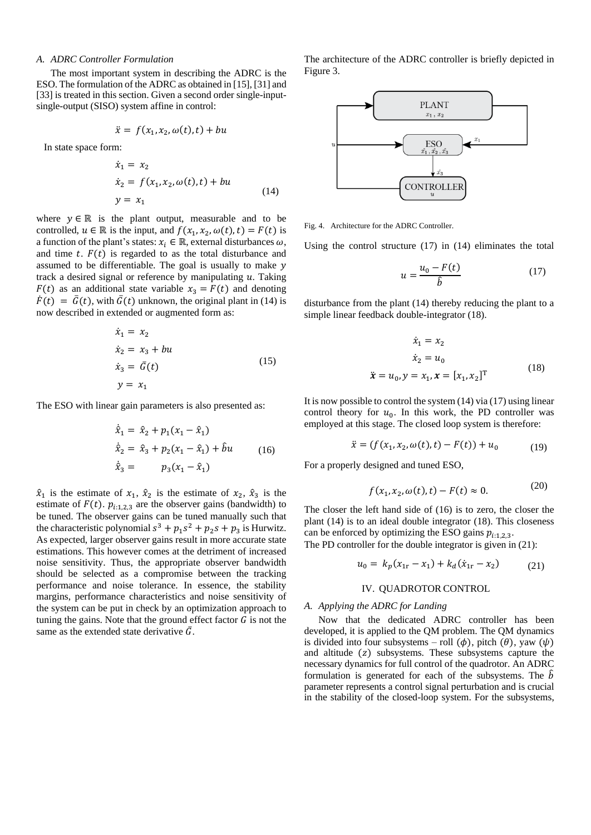#### *A. ADRC Controller Formulation*

The most important system in describing the ADRC is the ESO. The formulation of the ADRC as obtained in [15], [31] and [33] is treated in this section. Given a second order single-inputsingle-output (SISO) system affine in control:

$$
\ddot{x} = f(x_1, x_2, \omega(t), t) + bu
$$

In state space form:

$$
\dot{x}_1 = x_2 \n\dot{x}_2 = f(x_1, x_2, \omega(t), t) + bu \n y = x_1
$$
\n(14)

where  $y \in \mathbb{R}$  is the plant output, measurable and to be controlled,  $u \in \mathbb{R}$  is the input, and  $f(x_1, x_2, \omega(t), t) = F(t)$  is a function of the plant's states:  $x_i \in \mathbb{R}$ , external disturbances  $\omega$ , and time  $t$ .  $F(t)$  is regarded to as the total disturbance and assumed to be differentiable. The goal is usually to make  $y$ track a desired signal or reference by manipulating  $u$ . Taking  $F(t)$  as an additional state variable  $x_3 = F(t)$  and denoting  $\dot{F}(t) = \bar{G}(t)$ , with  $\bar{G}(t)$  unknown, the original plant in (14) is now described in extended or augmented form as:

$$
\dot{x}_1 = x_2
$$
\n
$$
\dot{x}_2 = x_3 + bu
$$
\n
$$
\dot{x}_3 = \bar{G}(t)
$$
\n
$$
y = x_1
$$
\n(15)

The ESO with linear gain parameters is also presented as:

$$
\dot{\hat{x}}_1 = \hat{x}_2 + p_1(x_1 - \hat{x}_1) \n\dot{\hat{x}}_2 = \hat{x}_3 + p_2(x_1 - \hat{x}_1) + \hat{b}u \n\dot{\hat{x}}_3 = p_3(x_1 - \hat{x}_1)
$$
\n(16)

 $\hat{x}_1$  is the estimate of  $x_1$ ,  $\hat{x}_2$  is the estimate of  $x_2$ ,  $\hat{x}_3$  is the estimate of  $F(t)$ .  $p_{i:1,2,3}$  are the observer gains (bandwidth) to be tuned. The observer gains can be tuned manually such that the characteristic polynomial  $s^3 + p_1s^2 + p_2s + p_3$  is Hurwitz. As expected, larger observer gains result in more accurate state estimations. This however comes at the detriment of increased noise sensitivity. Thus, the appropriate observer bandwidth should be selected as a compromise between the tracking performance and noise tolerance. In essence, the stability margins, performance characteristics and noise sensitivity of the system can be put in check by an optimization approach to tuning the gains. Note that the ground effect factor  $G$  is not the same as the extended state derivative  $\bar{G}$ .

The architecture of the ADRC controller is briefly depicted in Figure 3.



Fig. 4. Architecture for the ADRC Controller.

Using the control structure (17) in (14) eliminates the total

$$
u = \frac{u_0 - F(t)}{\hat{b}}\tag{17}
$$

disturbance from the plant (14) thereby reducing the plant to a simple linear feedback double-integrator (18).

$$
\dot{x}_1 = x_2
$$
  
\n
$$
\dot{x}_2 = u_0
$$
  
\n
$$
\ddot{x} = u_0, y = x_1, x = [x_1, x_2]^T
$$
\n(18)

It is now possible to control the system (14) via (17) using linear control theory for  $u_0$ . In this work, the PD controller was employed at this stage. The closed loop system is therefore:

$$
\ddot{x} = (f(x_1, x_2, \omega(t), t) - F(t)) + u_0 \tag{19}
$$

For a properly designed and tuned ESO,

$$
f(x_1, x_2, \omega(t), t) - F(t) \approx 0.
$$
 (20)

The closer the left hand side of (16) is to zero, the closer the plant (14) is to an ideal double integrator (18). This closeness can be enforced by optimizing the ESO gains  $p_{i:1,2,3}$ .

The PD controller for the double integrator is given in (21):

$$
u_0 = k_p(x_{1r} - x_1) + k_d(\dot{x}_{1r} - x_2)
$$
 (21)

## IV. QUADROTOR CONTROL

## *A. Applying the ADRC for Landing*

Now that the dedicated ADRC controller has been developed, it is applied to the QM problem. The QM dynamics is divided into four subsystems – roll  $(\phi)$ , pitch  $(\theta)$ , yaw  $(\psi)$ and altitude  $(z)$  subsystems. These subsystems capture the necessary dynamics for full control of the quadrotor. An ADRC formulation is generated for each of the subsystems. The  $\ddot{b}$ parameter represents a control signal perturbation and is crucial in the stability of the closed-loop system. For the subsystems,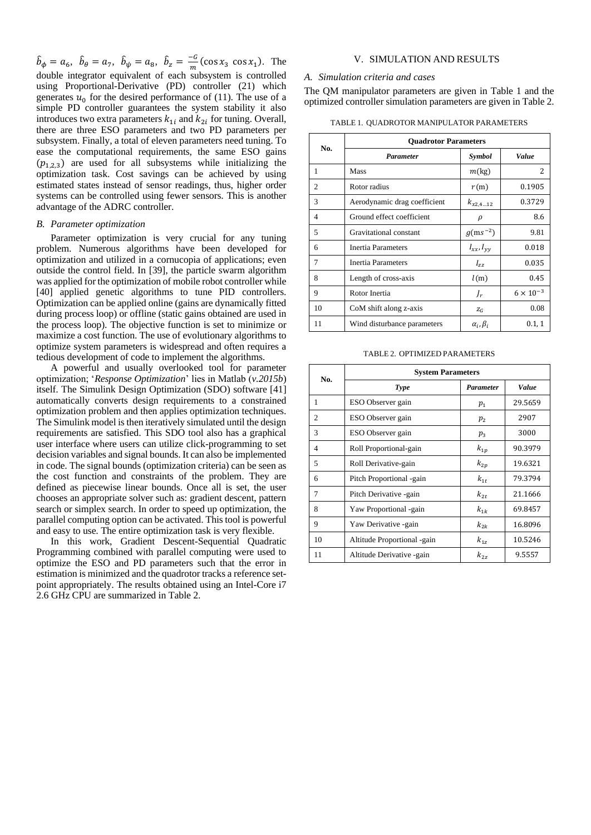$\hat{b}_{\phi} = a_{6}, \ \hat{b}_{\theta} = a_{7}, \ \hat{b}_{\psi} = a_{8}, \ \hat{b}_{z} = \frac{-G}{m}$  $\frac{1}{m}$  (cos  $x_3$  cos  $x_1$ ). The double integrator equivalent of each subsystem is controlled using Proportional-Derivative (PD) controller (21) which generates  $u_0$  for the desired performance of (11). The use of a simple PD controller guarantees the system stability it also introduces two extra parameters  $k_{1i}$  and  $k_{2i}$  for tuning. Overall, there are three ESO parameters and two PD parameters per subsystem. Finally, a total of eleven parameters need tuning. To ease the computational requirements, the same ESO gains  $(p_{1,2,3})$  are used for all subsystems while initializing the optimization task. Cost savings can be achieved by using estimated states instead of sensor readings, thus, higher order systems can be controlled using fewer sensors. This is another advantage of the ADRC controller.

#### *B. Parameter optimization*

Parameter optimization is very crucial for any tuning problem. Numerous algorithms have been developed for optimization and utilized in a cornucopia of applications; even outside the control field. In [39], the particle swarm algorithm was applied for the optimization of mobile robot controller while [40] applied genetic algorithms to tune PID controllers. Optimization can be applied online (gains are dynamically fitted during process loop) or offline (static gains obtained are used in the process loop). The objective function is set to minimize or maximize a cost function. The use of evolutionary algorithms to optimize system parameters is widespread and often requires a tedious development of code to implement the algorithms.

A powerful and usually overlooked tool for parameter optimization; '*Response Optimization*' lies in Matlab (*v.2015b*) itself. The Simulink Design Optimization (SDO) software [41] automatically converts design requirements to a constrained optimization problem and then applies optimization techniques. The Simulink model is then iteratively simulated until the design requirements are satisfied. This SDO tool also has a graphical user interface where users can utilize click-programming to set decision variables and signal bounds. It can also be implemented in code. The signal bounds (optimization criteria) can be seen as the cost function and constraints of the problem. They are defined as piecewise linear bounds. Once all is set, the user chooses an appropriate solver such as: gradient descent, pattern search or simplex search. In order to speed up optimization, the parallel computing option can be activated. This tool is powerful and easy to use. The entire optimization task is very flexible.

In this work, Gradient Descent-Sequential Quadratic Programming combined with parallel computing were used to optimize the ESO and PD parameters such that the error in estimation is minimized and the quadrotor tracks a reference setpoint appropriately. The results obtained using an Intel-Core i7 2.6 GHz CPU are summarized in Table 2.

## V. SIMULATION AND RESULTS

#### *A. Simulation criteria and cases*

The QM manipulator parameters are given in Table 1 and the optimized controller simulation parameters are given in Table 2.

TABLE 1. QUADROTOR MANIPULATOR PARAMETERS

| No.            | <b>Ouadrotor Parameters</b>  |                     |                    |  |
|----------------|------------------------------|---------------------|--------------------|--|
|                | Parameter                    | Symbol              | Value              |  |
| 1              | Mass                         | $m(\text{kg})$      | 2                  |  |
| $\overline{c}$ | Rotor radius                 | r(m)                | 0.1905             |  |
| 3              | Aerodynamic drag coefficient | $k_{x2,412}$        | 0.3729             |  |
| $\overline{4}$ | Ground effect coefficient    | ρ                   | 8.6                |  |
| $\overline{5}$ | Gravitational constant       | $g(ms^{-2})$        | 9.81               |  |
| 6              | Inertia Parameters           | $I_{xx}$ , $I_{yy}$ | 0.018              |  |
| 7              | Inertia Parameters           | $I_{zz}$            | 0.035              |  |
| 8              | Length of cross-axis         | l(m)                | 0.45               |  |
| 9              | Rotor Inertia                | $J_r$               | $6 \times 10^{-3}$ |  |
| 10             | CoM shift along z-axis       | $Z_G$               | 0.08               |  |
| 11             | Wind disturbance parameters  | $\alpha_i, \beta_i$ | 0.1, 1             |  |

#### TABLE 2. OPTIMIZED PARAMETERS

| No.           | <b>System Parameters</b>    |                  |         |  |
|---------------|-----------------------------|------------------|---------|--|
|               | Type                        | <b>Parameter</b> | Value   |  |
| 1             | ESO Observer gain           | $p_{1}$          | 29.5659 |  |
| 2             | ESO Observer gain           | $p_{2}$          | 2907    |  |
| $\mathcal{R}$ | ESO Observer gain           | $p_3$            | 3000    |  |
| 4             | Roll Proportional-gain      | $k_{1p}$         | 90.3979 |  |
| 5             | Roll Derivative-gain        | $k_{2p}$         | 19.6321 |  |
| 6             | Pitch Proportional -gain    | $k_{1t}$         | 79.3794 |  |
| 7             | Pitch Derivative -gain      | $k_{2t}$         | 21.1666 |  |
| 8             | Yaw Proportional -gain      | $k_{1k}$         | 69.8457 |  |
| 9             | Yaw Derivative -gain        | $k_{2k}$         | 16.8096 |  |
| 10            | Altitude Proportional -gain | $k_{12}$         | 10.5246 |  |
| 11            | Altitude Derivative -gain   | $k_{2z}$         | 9.5557  |  |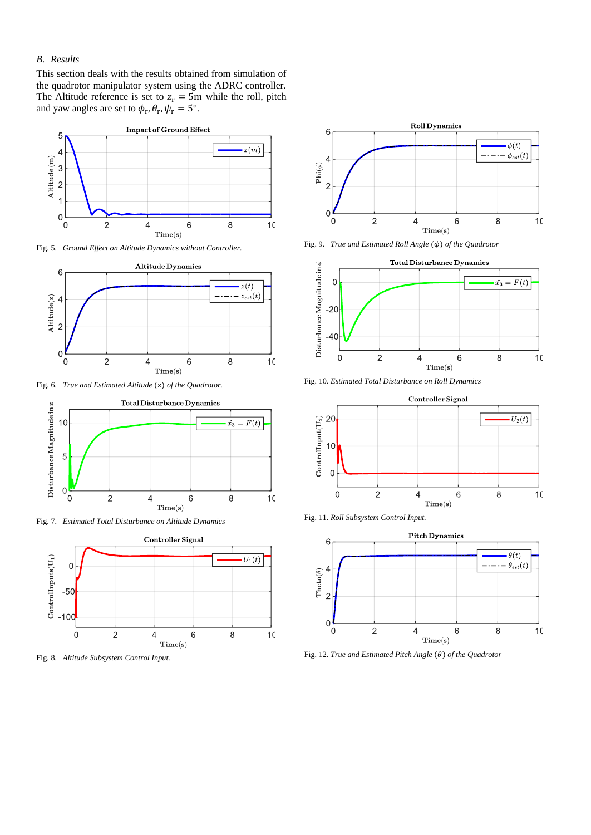# *B. Results*

This section deals with the results obtained from simulation of the quadrotor manipulator system using the ADRC controller. The Altitude reference is set to  $z_r = 5m$  while the roll, pitch and yaw angles are set to  $\phi_r$ ,  $\theta_r$ ,  $\psi_r = 5^\circ$ .



Fig. 5. *Ground Effect on Altitude Dynamics without Controller.*



Fig. 6. *True and Estimated Altitude* (z) of the Quadrotor.



Fig. 7. *Estimated Total Disturbance on Altitude Dynamics*



Fig. 8. *Altitude Subsystem Control Input.*



Fig. 9. *True and Estimated Roll Angle* ( $\phi$ ) *of the Quadrotor* 



Fig. 10. *Estimated Total Disturbance on Roll Dynamics*



Fig. 11. *Roll Subsystem Control Input.*



Fig. 12. *True and Estimated Pitch Angle* ( $\theta$ ) *of the Quadrotor*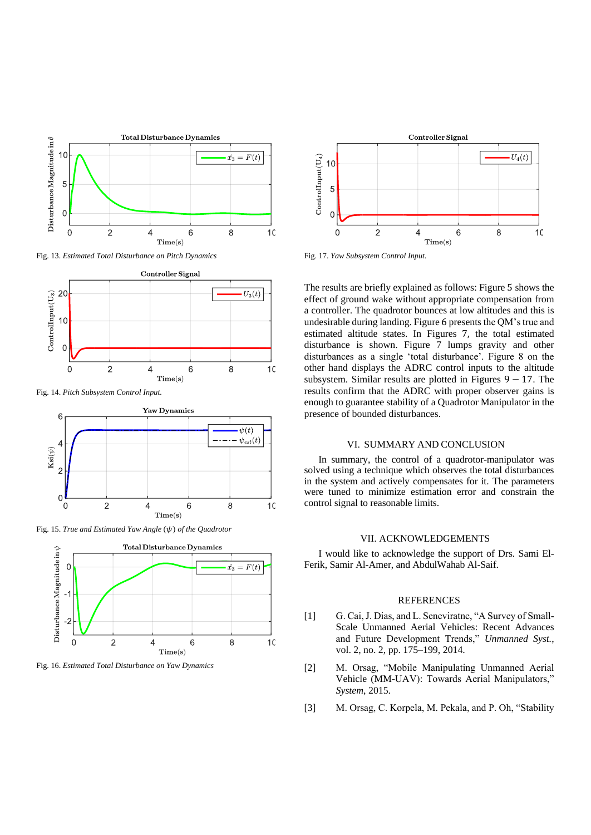

Fig. 13. *Estimated Total Disturbance on Pitch Dynamics*



Fig. 14. *Pitch Subsystem Control Input.*



Fig. 15. *True and Estimated Yaw Angle* ( $\psi$ ) *of the Quadrotor* 



Fig. 16. *Estimated Total Disturbance on Yaw Dynamics*



Fig. 17. *Yaw Subsystem Control Input.*

The results are briefly explained as follows: Figure 5 shows the effect of ground wake without appropriate compensation from a controller. The quadrotor bounces at low altitudes and this is undesirable during landing. Figure 6 presents the QM's true and estimated altitude states. In Figures 7, the total estimated disturbance is shown. Figure 7 lumps gravity and other disturbances as a single 'total disturbance'. Figure 8 on the other hand displays the ADRC control inputs to the altitude subsystem. Similar results are plotted in Figures  $9 - 17$ . The results confirm that the ADRC with proper observer gains is enough to guarantee stability of a Quadrotor Manipulator in the presence of bounded disturbances.

#### VI. SUMMARY AND CONCLUSION

In summary, the control of a quadrotor-manipulator was solved using a technique which observes the total disturbances in the system and actively compensates for it. The parameters were tuned to minimize estimation error and constrain the control signal to reasonable limits.

## VII. ACKNOWLEDGEMENTS

I would like to acknowledge the support of Drs. Sami El-Ferik, Samir Al-Amer, and AbdulWahab Al-Saif.

#### **REFERENCES**

- [1] G. Cai, J. Dias, and L. Seneviratne, "A Survey of Small-Scale Unmanned Aerial Vehicles: Recent Advances and Future Development Trends," *Unmanned Syst.*, vol. 2, no. 2, pp. 175–199, 2014.
- [2] M. Orsag, "Mobile Manipulating Unmanned Aerial Vehicle (MM-UAV): Towards Aerial Manipulators," *System*, 2015.
- [3] M. Orsag, C. Korpela, M. Pekala, and P. Oh, "Stability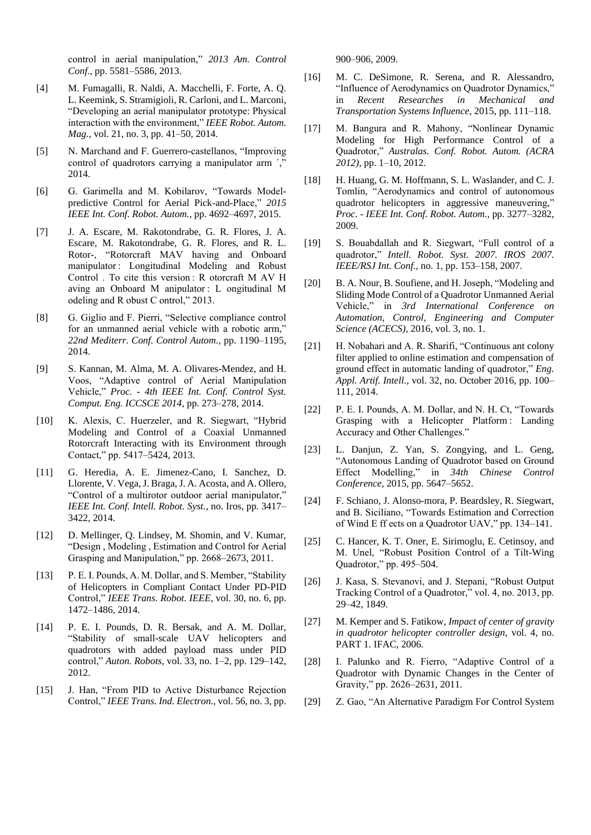control in aerial manipulation," *2013 Am. Control Conf.*, pp. 5581–5586, 2013.

- [4] M. Fumagalli, R. Naldi, A. Macchelli, F. Forte, A. Q. L. Keemink, S. Stramigioli, R. Carloni, and L. Marconi, "Developing an aerial manipulator prototype: Physical interaction with the environment," *IEEE Robot. Autom. Mag.*, vol. 21, no. 3, pp. 41–50, 2014.
- [5] N. Marchand and F. Guerrero-castellanos, "Improving control of quadrotors carrying a manipulator arm  $\cdot$ , 2014.
- [6] G. Garimella and M. Kobilarov, "Towards Modelpredictive Control for Aerial Pick-and-Place," *2015 IEEE Int. Conf. Robot. Autom.*, pp. 4692–4697, 2015.
- [7] J. A. Escare, M. Rakotondrabe, G. R. Flores, J. A. Escare, M. Rakotondrabe, G. R. Flores, and R. L. Rotor-, "Rotorcraft MAV having and Onboard manipulator : Longitudinal Modeling and Robust Control . To cite this version : R otorcraft M AV H aving an Onboard M anipulator : L ongitudinal M odeling and R obust C ontrol," 2013.
- [8] G. Giglio and F. Pierri, "Selective compliance control for an unmanned aerial vehicle with a robotic arm," *22nd Mediterr. Conf. Control Autom.*, pp. 1190–1195, 2014.
- [9] S. Kannan, M. Alma, M. A. Olivares-Mendez, and H. Voos, "Adaptive control of Aerial Manipulation Vehicle," *Proc. - 4th IEEE Int. Conf. Control Syst. Comput. Eng. ICCSCE 2014*, pp. 273–278, 2014.
- [10] K. Alexis, C. Huerzeler, and R. Siegwart, "Hybrid" Modeling and Control of a Coaxial Unmanned Rotorcraft Interacting with its Environment through Contact," pp. 5417–5424, 2013.
- [11] G. Heredia, A. E. Jimenez-Cano, I. Sanchez, D. Llorente, V. Vega, J. Braga, J. A. Acosta, and A. Ollero, "Control of a multirotor outdoor aerial manipulator," *IEEE Int. Conf. Intell. Robot. Syst.*, no. Iros, pp. 3417– 3422, 2014.
- [12] D. Mellinger, Q. Lindsey, M. Shomin, and V. Kumar, "Design , Modeling , Estimation and Control for Aerial Grasping and Manipulation," pp. 2668–2673, 2011.
- [13] P. E. I. Pounds, A. M. Dollar, and S. Member, "Stability of Helicopters in Compliant Contact Under PD-PID Control," *IEEE Trans. Robot. IEEE*, vol. 30, no. 6, pp. 1472–1486, 2014.
- [14] P. E. I. Pounds, D. R. Bersak, and A. M. Dollar, "Stability of small-scale UAV helicopters and quadrotors with added payload mass under PID control," *Auton. Robots*, vol. 33, no. 1–2, pp. 129–142, 2012.
- [15] J. Han, "From PID to Active Disturbance Rejection Control," *IEEE Trans. Ind. Electron.*, vol. 56, no. 3, pp.

900–906, 2009.

- [16] M. C. DeSimone, R. Serena, and R. Alessandro, "Influence of Aerodynamics on Quadrotor Dynamics," in *Recent Researches in Mechanical and Transportation Systems Influence*, 2015, pp. 111–118.
- [17] M. Bangura and R. Mahony, "Nonlinear Dynamic Modeling for High Performance Control of a Quadrotor," *Australas. Conf. Robot. Autom. (ACRA 2012)*, pp. 1–10, 2012.
- [18] H. Huang, G. M. Hoffmann, S. L. Waslander, and C. J. Tomlin, "Aerodynamics and control of autonomous quadrotor helicopters in aggressive maneuvering," *Proc. - IEEE Int. Conf. Robot. Autom.*, pp. 3277–3282, 2009.
- [19] S. Bouabdallah and R. Siegwart, "Full control of a quadrotor," *Intell. Robot. Syst. 2007. IROS 2007. IEEE/RSJ Int. Conf.*, no. 1, pp. 153–158, 2007.
- [20] B. A. Nour, B. Soufiene, and H. Joseph, "Modeling and Sliding Mode Control of a Quadrotor Unmanned Aerial Vehicle," in *3rd International Conference on Automation, Control, Engineering and Computer Science (ACECS)*, 2016, vol. 3, no. 1.
- [21] H. Nobahari and A. R. Sharifi, "Continuous ant colony filter applied to online estimation and compensation of ground effect in automatic landing of quadrotor," *Eng. Appl. Artif. Intell.*, vol. 32, no. October 2016, pp. 100– 111, 2014.
- [22] P. E. I. Pounds, A. M. Dollar, and N. H. Ct, "Towards" Grasping with a Helicopter Platform : Landing Accuracy and Other Challenges."
- [23] L. Danjun, Z. Yan, S. Zongying, and L. Geng, "Autonomous Landing of Quadrotor based on Ground Effect Modelling," in *34th Chinese Control Conference*, 2015, pp. 5647–5652.
- [24] F. Schiano, J. Alonso-mora, P. Beardsley, R. Siegwart, and B. Siciliano, "Towards Estimation and Correction of Wind E ff ects on a Quadrotor UAV," pp. 134–141.
- [25] C. Hancer, K. T. Oner, E. Sirimoglu, E. Cetinsoy, and M. Unel, "Robust Position Control of a Tilt-Wing Quadrotor," pp. 495–504.
- [26] J. Kasa, S. Stevanovi, and J. Stepani, "Robust Output Tracking Control of a Quadrotor," vol. 4, no. 2013, pp. 29–42, 1849.
- [27] M. Kemper and S. Fatikow, *Impact of center of gravity in quadrotor helicopter controller design*, vol. 4, no. PART 1. IFAC, 2006.
- [28] I. Palunko and R. Fierro, "Adaptive Control of a Quadrotor with Dynamic Changes in the Center of Gravity," pp. 2626–2631, 2011.
- [29] Z. Gao, "An Alternative Paradigm For Control System